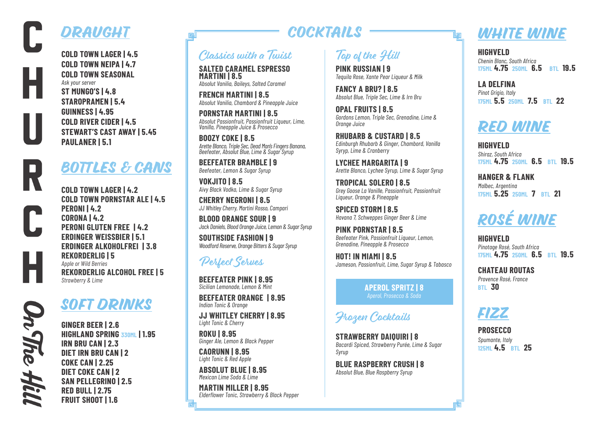## DRAUGHT

**COLD TOWN LAGER | 4.5 COLD TOWN NEIPA | 4.7 COLD TOWN SEASONAL** *Ask your server* **ST MUNGO'S | 4.8 STAROPRAMEN | 5.4 GUINNESS | 4.95 COLD RIVER CIDER | 4.5 STEWART'S CAST AWAY | 5.45 PAULANER | 5.1**

### BOTTLES & CANS

**COLD TOWN LAGER | 4.2 COLD TOWN PORNSTAR ALE | 4.5 PERONI | 4.2 CORONA | 4.2 PERONI GLUTEN FREE | 4.2 ERDINGER WEISSBIER | 5.1 ERDINGER ALKOHOLFREI | 3.8 REKORDERLIG | 5** *Apple or Wild Berries* **REKORDERLIG ALCOHOL FREE | 5** *Strawberry & Lime*

## SOFT DRINKS

**GINGER BEER | 2.6 HIGHLAND SPRING 330ML | 1.95 IRN BRU CAN | 2.3 DIET IRN BRU CAN | 2 COKE CAN | 2.25 DIET COKE CAN | 2 SAN PELLEGRINO | 2.5 RED BULL | 2.75 FRUIT SHOOT | 1.6**

## **COCKTAILS**

#### Classics with a Twist

**SALTED CARAMEL ESPRESSO MARTINI | 8.5** *Absolut Vanilia, Baileys, Salted Caramel*

**FRENCH MARTINI | 8.5** *Absolut Vanilia, Chambord & Pineapple Juice*

**PORNSTAR MARTINI | 8.5** *Absolut Passionfruit, Passionfruit Liqueur, Lime, Vanilla, Pineapple Juice & Prosecco*

**BOOZY COKE | 8.5** *Arette Blanco, Triple Sec, Dead Man's Fingers Banana, Beefeater, Absolut Blue, Lime & Sugar Syrup*

**BEEFEATER BRAMBLE | 9** *Beefeater, Lemon & Sugar Syrup*

**VOKJITO | 8.5** *Aivy Black Vodka, Lime & Sugar Syrup*

**CHERRY NEGRONI | 8.5** *JJ Whitley Cherry, Martini Rosso, Campari*

**BLOOD ORANGE SOUR | 9** *Jack Daniels, Blood Orange Juice, Lemon & Sugar Syrup*

**SOUTHSIDE FASHION | 9** *Woodford Reserve, Orange Bitters & Sugar Syrup*

#### Perfect Serves

**BEEFEATER PINK | 8.95** *Sicilian Lemonade, Lemon & Mint*

**BEEFEATER ORANGE | 8.95** *Indian Tonic & Orange*

**JJ WHITLEY CHERRY | 8.95** *Light Tonic & Cherry*

**ROKU | 8.95** *Ginger Ale, Lemon & Black Pepper*

**CAORUNN | 8.95** *Light Tonic & Red Apple*

**ABSOLUT BLUE | 8.95** *Mexican Lime Soda & Lime*

**MARTIN MILLER | 8.95** *Elderflower Tonic, Strawberry & Black Pepper*

#### Top of the Hill

**PINK RUSSIAN | 9** *Tequila Rose, Xante Pear Liqueur & Milk*

**FANCY A BRU? | 8.5** *Absolut Blue, Triple Sec, Lime & Irn Bru*

**OPAL FRUITS | 8.5** *Gordons Lemon, Triple Sec, Grenadine, Lime & Orange Juice*

**RHUBARB & CUSTARD | 8.5** *Edinburgh Rhubarb & Ginger, Chambord, Vanilla Syryp, Lime & Cranberry*

**LYCHEE MARGARITA | 9** *Arette Blanco, Lychee Syrup, Lime & Sugar Syrup*

**TROPICAL SOLERO | 8.5** *Grey Goose La Vanille, Passionfruit, Passionfruit Liqueur, Orange & Pineapple*

**SPICED STORM | 8.5** *Havana 7, Schweppes Ginger Beer & Lime*

**PINK PORNSTAR | 8.5** *Beefeater Pink, Passionfruit Liqueur, Lemon, Grenadine, Pineapple & Prosecco*

**HOT! IN MIAMI | 8.5** *Jameson, Passionfruit, Lime, Sugar Syrup & Tabasco*

> **APEROL SPRITZ | 8** *Aperol, Prosecco & Soda*

Frozen Cocktails

**STRAWBERRY DAIQUIRI | 8** *Bacardi Spiced, Strawberry Purée, Lime & Sugar Syrup*

**BLUE RASPBERRY CRUSH | 8** *Absolut Blue, Blue Raspberry Syrup*

## WHITE WINE

**HIGHVELD** *Chenin Blanc, South Africa* **175ML 4.75 250ML 6.5 BTL 19.5**

**LA DELFINA**  *Pinot Grigio, Italy* **175ML 5.5 250ML 7.5 BTL 22**

## RED WINE

**HIGHVELD** *Shiraz, South Africa* **175ML 4.75 250ML 6.5 BTL 19.5**

**HANGER & FLANK** *Malbec, Argentina* **175ML 5.25 250ML 7 BTL 21**

# rOSÉ WINE

**HIGHVELD** *Pinotage Rosé, South Africa* **175ML 4.75 250ML 6.5 BTL 19.5**

**CHATEAU ROUTAS** *Provence Rosé, France* **BTL 30**



**PROSECCO**  *Spumante, Italy* **125ML 4.5 BTL 25**

Dn The Hil

 $\Box$